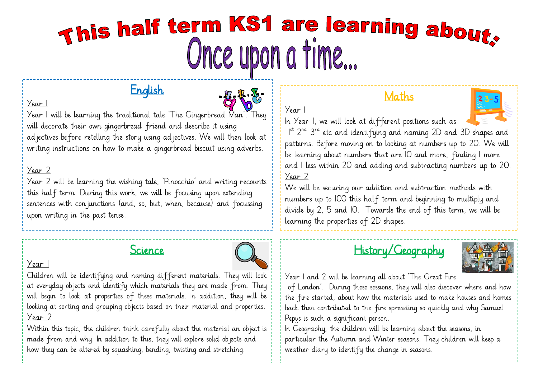# This half term KS1 are learning about. Once upon a time...

Year 1

# English



Year 1 will be learning the traditional tale 'The Gingerbread Man'. They will decorate their own gingerbread friend and describe it using ad jectives before retelling the story using ad jectives. We will then look at writing instructions on how to make a gingerbread biscuit using adverbs.

#### Year 2

Year 1

Year 2 will be learning the wishing tale, 'Pinocchio' and writing recounts this half term. During this work, we will be focusing upon extending sentences with conjunctions (and, so, but, when, because) and focussing upon writing in the past tense.

# Science



#### Year 1

Children will be identifying and naming different materials. They will look at everyday objects and identify which materials they are made from. They will begin to look at properties of these materials. In addition, they will be looking at sorting and grouping objects based on their material and properties. Year 2

Within this topic, the children think carefully about the material an object is made from and why. In addition to this, they will explore solid objects and how they can be altered by squashing, bending, twisting and stretching.

## Maths



In Year 1, we will look at different positions such as I<sup>st</sup> 2<sup>nd</sup> 3<sup>rd</sup> etc and identifying and naming 2D and 3D shapes and patterns. Before moving on to looking at numbers up to 20. We will be learning about numbers that are 10 and more, finding 1 more and 1 less within 20 and adding and subtracting numbers up to 20. Year 2

We will be securing our addition and subtraction methods with numbers up to 100 this half term and beginning to multiply and divide by 2, 5 and 10. Towards the end of this term, we will be learning the properties of 2D shapes.





Year 1 and 2 will be learning all about 'The Great Fire of London'. During these sessions, they will also discover where and how the fire started, about how the materials used to make houses and homes back then contributed to the fire spreading so quickly and why Samuel Pepys is such a significant person.

In Geography, the children will be learning about the seasons, in particular the Autumn and Winter seasons. They children will keep a weather diary to identify the change in seasons.